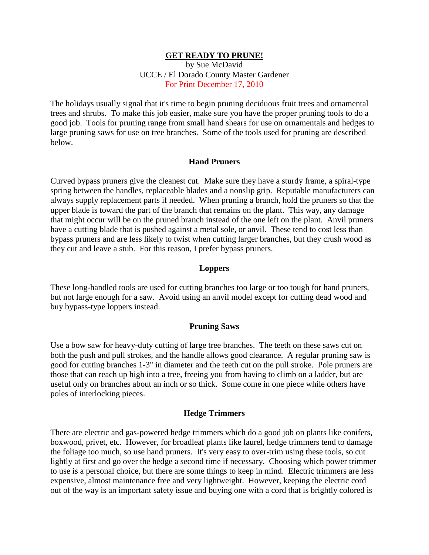## **GET READY TO PRUNE!**

by Sue McDavid UCCE / El Dorado County Master Gardener For Print December 17, 2010

The holidays usually signal that it's time to begin pruning deciduous fruit trees and ornamental trees and shrubs. To make this job easier, make sure you have the proper pruning tools to do a good job. Tools for pruning range from small hand shears for use on ornamentals and hedges to large pruning saws for use on tree branches. Some of the tools used for pruning are described below.

# **Hand Pruners**

Curved bypass pruners give the cleanest cut. Make sure they have a sturdy frame, a spiral-type spring between the handles, replaceable blades and a nonslip grip. Reputable manufacturers can always supply replacement parts if needed. When pruning a branch, hold the pruners so that the upper blade is toward the part of the branch that remains on the plant. This way, any damage that might occur will be on the pruned branch instead of the one left on the plant. Anvil pruners have a cutting blade that is pushed against a metal sole, or anvil. These tend to cost less than bypass pruners and are less likely to twist when cutting larger branches, but they crush wood as they cut and leave a stub. For this reason, I prefer bypass pruners.

### **Loppers**

These long-handled tools are used for cutting branches too large or too tough for hand pruners, but not large enough for a saw. Avoid using an anvil model except for cutting dead wood and buy bypass-type loppers instead.

#### **Pruning Saws**

Use a bow saw for heavy-duty cutting of large tree branches. The teeth on these saws cut on both the push and pull strokes, and the handle allows good clearance. A regular pruning saw is good for cutting branches 1-3" in diameter and the teeth cut on the pull stroke. Pole pruners are those that can reach up high into a tree, freeing you from having to climb on a ladder, but are useful only on branches about an inch or so thick. Some come in one piece while others have poles of interlocking pieces.

### **Hedge Trimmers**

There are electric and gas-powered hedge trimmers which do a good job on plants like conifers, boxwood, privet, etc. However, for broadleaf plants like laurel, hedge trimmers tend to damage the foliage too much, so use hand pruners. It's very easy to over-trim using these tools, so cut lightly at first and go over the hedge a second time if necessary. Choosing which power trimmer to use is a personal choice, but there are some things to keep in mind. Electric trimmers are less expensive, almost maintenance free and very lightweight. However, keeping the electric cord out of the way is an important safety issue and buying one with a cord that is brightly colored is